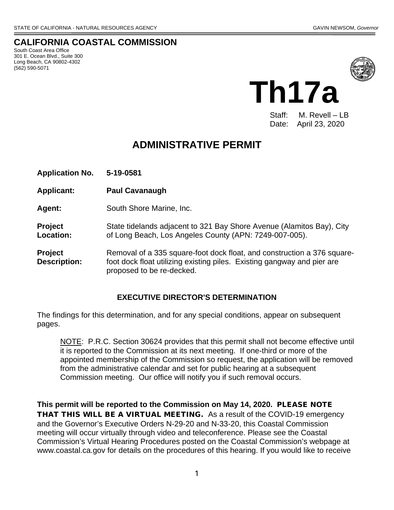# **CALIFORNIA COASTAL COMMISSION**

South Coast Area Office 301 E. Ocean Blvd., Suite 300 Long Beach, CA 90802-4302 (562) 590-5071



**Th17a**

Staff: M. Revell – LB Date: April 23, 2020

# **ADMINISTRATIVE PERMIT**

**Application No. 5-19-0581 Applicant: Paul Cavanaugh Agent:** South Shore Marine, Inc. **Project** State tidelands adjacent to 321 Bay Shore Avenue (Alamitos Bay), City **Location:** of Long Beach, Los Angeles County (APN: 7249-007-005). **Project** Removal of a 335 square-foot dock float, and construction a 376 square-**Description:** foot dock float utilizing existing piles. Existing gangway and pier are proposed to be re-decked.

#### **EXECUTIVE DIRECTOR'S DETERMINATION**

The findings for this determination, and for any special conditions, appear on subsequent pages.

NOTE: P.R.C. Section 30624 provides that this permit shall not become effective until it is reported to the Commission at its next meeting. If one-third or more of the appointed membership of the Commission so request, the application will be removed from the administrative calendar and set for public hearing at a subsequent Commission meeting. Our office will notify you if such removal occurs.

**This permit will be reported to the Commission on May 14, 2020.** PLEASE NOTE THAT THIS WILL BE A VIRTUAL MEETING. As a result of the COVID-19 emergency and the Governor's Executive Orders N-29-20 and N-33-20, this Coastal Commission meeting will occur virtually through video and teleconference. Please see the Coastal Commission's Virtual Hearing Procedures posted on the Coastal Commission's webpage at www.coastal.ca.gov for details on the procedures of this hearing. If you would like to receive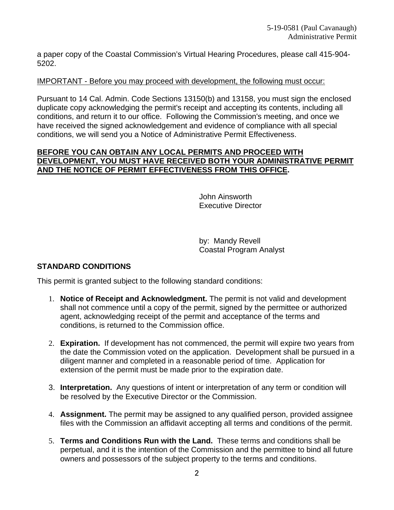a paper copy of the Coastal Commission's Virtual Hearing Procedures, please call 415-904- 5202.

#### IMPORTANT - Before you may proceed with development, the following must occur:

Pursuant to 14 Cal. Admin. Code Sections 13150(b) and 13158, you must sign the enclosed duplicate copy acknowledging the permit's receipt and accepting its contents, including all conditions, and return it to our office. Following the Commission's meeting, and once we have received the signed acknowledgement and evidence of compliance with all special conditions, we will send you a Notice of Administrative Permit Effectiveness.

#### **BEFORE YOU CAN OBTAIN ANY LOCAL PERMITS AND PROCEED WITH DEVELOPMENT, YOU MUST HAVE RECEIVED BOTH YOUR ADMINISTRATIVE PERMIT AND THE NOTICE OF PERMIT EFFECTIVENESS FROM THIS OFFICE.**

John Ainsworth Executive Director

 by: Mandy Revell Coastal Program Analyst

#### **STANDARD CONDITIONS**

This permit is granted subject to the following standard conditions:

- 1. **Notice of Receipt and Acknowledgment.** The permit is not valid and development shall not commence until a copy of the permit, signed by the permittee or authorized agent, acknowledging receipt of the permit and acceptance of the terms and conditions, is returned to the Commission office.
- 2. **Expiration.** If development has not commenced, the permit will expire two years from the date the Commission voted on the application. Development shall be pursued in a diligent manner and completed in a reasonable period of time. Application for extension of the permit must be made prior to the expiration date.
- 3. **Interpretation.** Any questions of intent or interpretation of any term or condition will be resolved by the Executive Director or the Commission.
- 4. **Assignment.** The permit may be assigned to any qualified person, provided assignee files with the Commission an affidavit accepting all terms and conditions of the permit.
- 5. **Terms and Conditions Run with the Land.** These terms and conditions shall be perpetual, and it is the intention of the Commission and the permittee to bind all future owners and possessors of the subject property to the terms and conditions.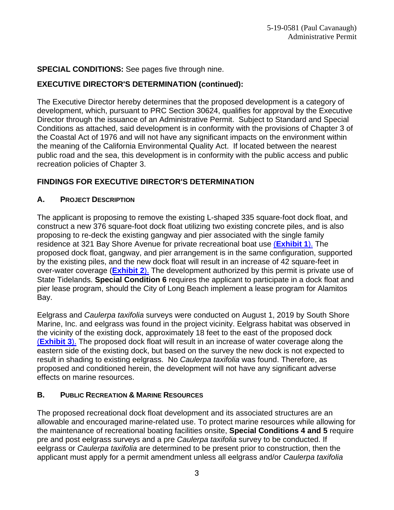#### **SPECIAL CONDITIONS:** See pages five through nine.

# **EXECUTIVE DIRECTOR'S DETERMINATION (continued):**

The Executive Director hereby determines that the proposed development is a category of development, which, pursuant to PRC Section 30624, qualifies for approval by the Executive Director through the issuance of an Administrative Permit. Subject to Standard and Special Conditions as attached, said development is in conformity with the provisions of Chapter 3 of the Coastal Act of 1976 and will not have any significant impacts on the environment within the meaning of the California Environmental Quality Act. If located between the nearest public road and the sea, this development is in conformity with the public access and public recreation policies of Chapter 3.

#### **FINDINGS FOR EXECUTIVE DIRECTOR'S DETERMINATION**

#### **A. PROJECT DESCRIPTION**

The applicant is proposing to remove the existing L-shaped 335 square-foot dock float, and construct a new 376 square-foot dock float utilizing two existing concrete piles, and is also proposing to re-deck the existing gangway and pier associated with the single family residence at 321 Bay Shore Avenue for private recreational boat use (**[Exhibit 1](https://documents.coastal.ca.gov/reports/2020/5/Th17a/Th17a-5-2020-exhibits.pdf)**). The proposed dock float, gangway, and pier arrangement is in the same configuration, supported by the existing piles, and the new dock float will result in an increase of 42 square-feet in over-water coverage (**[Exhibit 2](https://documents.coastal.ca.gov/reports/2020/5/Th17a/Th17a-5-2020-exhibits.pdf)**). The development authorized by this permit is private use of State Tidelands. **Special Condition 6** requires the applicant to participate in a dock float and pier lease program, should the City of Long Beach implement a lease program for Alamitos Bay.

Eelgrass and *Caulerpa taxifolia* surveys were conducted on August 1, 2019 by South Shore Marine, Inc. and eelgrass was found in the project vicinity. Eelgrass habitat was observed in the vicinity of the existing dock, approximately 18 feet to the east of the proposed dock (**[Exhibit 3](https://documents.coastal.ca.gov/reports/2020/5/Th17a/Th17a-5-2020-exhibits.pdf)**). The proposed dock float will result in an increase of water coverage along the eastern side of the existing dock, but based on the survey the new dock is not expected to result in shading to existing eelgrass. No *Caulerpa taxifolia* was found. Therefore, as proposed and conditioned herein, the development will not have any significant adverse effects on marine resources.

#### **B. PUBLIC RECREATION & MARINE RESOURCES**

The proposed recreational dock float development and its associated structures are an allowable and encouraged marine-related use. To protect marine resources while allowing for the maintenance of recreational boating facilities onsite, **Special Conditions 4 and 5** require pre and post eelgrass surveys and a pre *Caulerpa taxifolia* survey to be conducted. If eelgrass or *Caulerpa taxifolia* are determined to be present prior to construction, then the applicant must apply for a permit amendment unless all eelgrass and/or *Caulerpa taxifolia*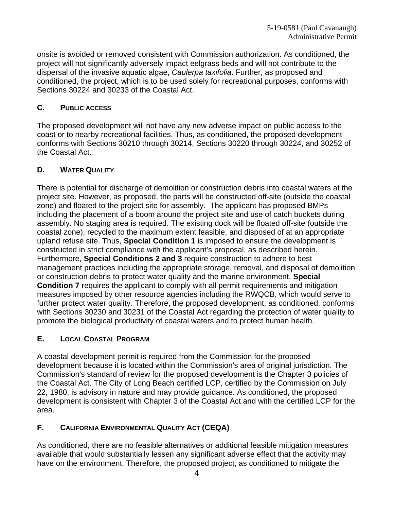onsite is avoided or removed consistent with Commission authorization. As conditioned, the project will not significantly adversely impact eelgrass beds and will not contribute to the dispersal of the invasive aquatic algae, *Caulerpa taxifolia*. Further, as proposed and conditioned, the project, which is to be used solely for recreational purposes, conforms with Sections 30224 and 30233 of the Coastal Act.

# **C. PUBLIC ACCESS**

The proposed development will not have any new adverse impact on public access to the coast or to nearby recreational facilities. Thus, as conditioned, the proposed development conforms with Sections 30210 through 30214, Sections 30220 through 30224, and 30252 of the Coastal Act.

# **D. WATER QUALITY**

There is potential for discharge of demolition or construction debris into coastal waters at the project site. However, as proposed, the parts will be constructed off-site (outside the coastal zone) and floated to the project site for assembly. The applicant has proposed BMPs including the placement of a boom around the project site and use of catch buckets during assembly. No staging area is required. The existing dock will be floated off-site (outside the coastal zone), recycled to the maximum extent feasible, and disposed of at an appropriate upland refuse site. Thus, **Special Condition 1** is imposed to ensure the development is constructed in strict compliance with the applicant's proposal, as described herein. Furthermore, **Special Conditions 2 and 3** require construction to adhere to best management practices including the appropriate storage, removal, and disposal of demolition or construction debris to protect water quality and the marine environment. **Special Condition 7** requires the applicant to comply with all permit requirements and mitigation measures imposed by other resource agencies including the RWQCB, which would serve to further protect water quality. Therefore, the proposed development, as conditioned, conforms with Sections 30230 and 30231 of the Coastal Act regarding the protection of water quality to promote the biological productivity of coastal waters and to protect human health.

# **E. LOCAL COASTAL PROGRAM**

A coastal development permit is required from the Commission for the proposed development because it is located within the Commission's area of original jurisdiction. The Commission's standard of review for the proposed development is the Chapter 3 policies of the Coastal Act. The City of Long Beach certified LCP, certified by the Commission on July 22, 1980, is advisory in nature and may provide guidance. As conditioned, the proposed development is consistent with Chapter 3 of the Coastal Act and with the certified LCP for the area.

# **F. CALIFORNIA ENVIRONMENTAL QUALITY ACT (CEQA)**

As conditioned, there are no feasible alternatives or additional feasible mitigation measures available that would substantially lessen any significant adverse effect that the activity may have on the environment. Therefore, the proposed project, as conditioned to mitigate the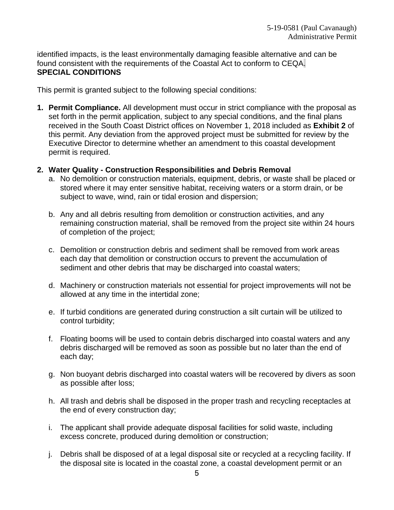identified impacts, is the least environmentally damaging feasible alternative and can be found consistent with the requirements of the Coastal Act to conform to CEQA. **SPECIAL CONDITIONS**

This permit is granted subject to the following special conditions:

- **1. Permit Compliance.** All development must occur in strict compliance with the proposal as set forth in the permit application, subject to any special conditions, and the final plans received in the South Coast District offices on November 1, 2018 included as **[Exhibit 2](about:blank)** of this permit. Any deviation from the approved project must be submitted for review by the Executive Director to determine whether an amendment to this coastal development permit is required.
- **2. Water Quality Construction Responsibilities and Debris Removal**
	- a. No demolition or construction materials, equipment, debris, or waste shall be placed or stored where it may enter sensitive habitat, receiving waters or a storm drain, or be subject to wave, wind, rain or tidal erosion and dispersion;
	- b. Any and all debris resulting from demolition or construction activities, and any remaining construction material, shall be removed from the project site within 24 hours of completion of the project;
	- c. Demolition or construction debris and sediment shall be removed from work areas each day that demolition or construction occurs to prevent the accumulation of sediment and other debris that may be discharged into coastal waters;
	- d. Machinery or construction materials not essential for project improvements will not be allowed at any time in the intertidal zone;
	- e. If turbid conditions are generated during construction a silt curtain will be utilized to control turbidity;
	- f. Floating booms will be used to contain debris discharged into coastal waters and any debris discharged will be removed as soon as possible but no later than the end of each day;
	- g. Non buoyant debris discharged into coastal waters will be recovered by divers as soon as possible after loss;
	- h. All trash and debris shall be disposed in the proper trash and recycling receptacles at the end of every construction day;
	- i. The applicant shall provide adequate disposal facilities for solid waste, including excess concrete, produced during demolition or construction;
	- j. Debris shall be disposed of at a legal disposal site or recycled at a recycling facility. If the disposal site is located in the coastal zone, a coastal development permit or an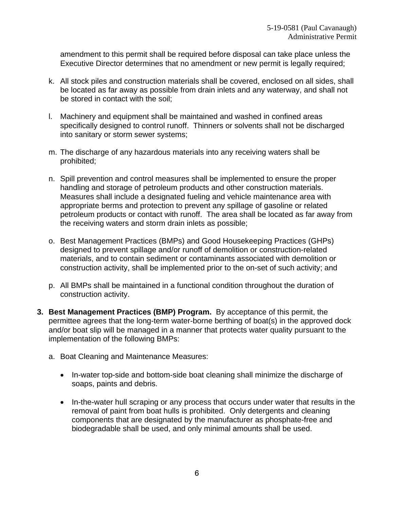amendment to this permit shall be required before disposal can take place unless the Executive Director determines that no amendment or new permit is legally required;

- k. All stock piles and construction materials shall be covered, enclosed on all sides, shall be located as far away as possible from drain inlets and any waterway, and shall not be stored in contact with the soil;
- l. Machinery and equipment shall be maintained and washed in confined areas specifically designed to control runoff. Thinners or solvents shall not be discharged into sanitary or storm sewer systems;
- m. The discharge of any hazardous materials into any receiving waters shall be prohibited;
- n. Spill prevention and control measures shall be implemented to ensure the proper handling and storage of petroleum products and other construction materials. Measures shall include a designated fueling and vehicle maintenance area with appropriate berms and protection to prevent any spillage of gasoline or related petroleum products or contact with runoff. The area shall be located as far away from the receiving waters and storm drain inlets as possible;
- o. Best Management Practices (BMPs) and Good Housekeeping Practices (GHPs) designed to prevent spillage and/or runoff of demolition or construction-related materials, and to contain sediment or contaminants associated with demolition or construction activity, shall be implemented prior to the on-set of such activity; and
- p. All BMPs shall be maintained in a functional condition throughout the duration of construction activity.
- **3. Best Management Practices (BMP) Program.** By acceptance of this permit, the permittee agrees that the long-term water-borne berthing of boat(s) in the approved dock and/or boat slip will be managed in a manner that protects water quality pursuant to the implementation of the following BMPs:
	- a. Boat Cleaning and Maintenance Measures:
		- In-water top-side and bottom-side boat cleaning shall minimize the discharge of soaps, paints and debris.
		- In-the-water hull scraping or any process that occurs under water that results in the removal of paint from boat hulls is prohibited. Only detergents and cleaning components that are designated by the manufacturer as phosphate-free and biodegradable shall be used, and only minimal amounts shall be used.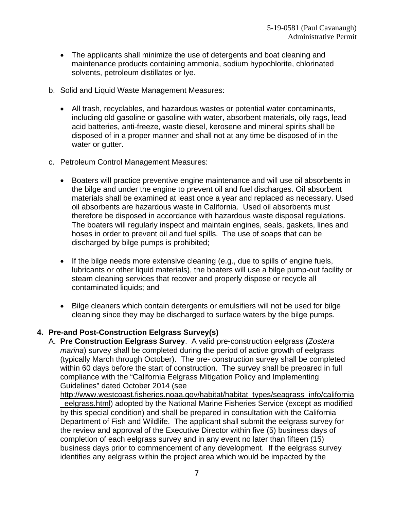- The applicants shall minimize the use of detergents and boat cleaning and maintenance products containing ammonia, sodium hypochlorite, chlorinated solvents, petroleum distillates or lye.
- b. Solid and Liquid Waste Management Measures:
	- All trash, recyclables, and hazardous wastes or potential water contaminants, including old gasoline or gasoline with water, absorbent materials, oily rags, lead acid batteries, anti-freeze, waste diesel, kerosene and mineral spirits shall be disposed of in a proper manner and shall not at any time be disposed of in the water or gutter.
- c. Petroleum Control Management Measures:
	- Boaters will practice preventive engine maintenance and will use oil absorbents in the bilge and under the engine to prevent oil and fuel discharges. Oil absorbent materials shall be examined at least once a year and replaced as necessary. Used oil absorbents are hazardous waste in California. Used oil absorbents must therefore be disposed in accordance with hazardous waste disposal regulations. The boaters will regularly inspect and maintain engines, seals, gaskets, lines and hoses in order to prevent oil and fuel spills. The use of soaps that can be discharged by bilge pumps is prohibited;
	- If the bilge needs more extensive cleaning (e.g., due to spills of engine fuels, lubricants or other liquid materials), the boaters will use a bilge pump-out facility or steam cleaning services that recover and properly dispose or recycle all contaminated liquids; and
	- Bilge cleaners which contain detergents or emulsifiers will not be used for bilge cleaning since they may be discharged to surface waters by the bilge pumps.

#### **4. Pre-and Post-Construction Eelgrass Survey(s)**

A. **Pre Construction Eelgrass Survey**. A valid pre-construction eelgrass (*Zostera marina*) survey shall be completed during the period of active growth of eelgrass (typically March through October). The pre- construction survey shall be completed within 60 days before the start of construction. The survey shall be prepared in full compliance with the "California Eelgrass Mitigation Policy and Implementing Guidelines" dated October 2014 (see

[http://www.westcoast.fisheries.noaa.gov/habitat/habitat\\_types/seagrass\\_info/california](about:blank) eelgrass.html) adopted by the National Marine Fisheries Service (except as modified by this special condition) and shall be prepared in consultation with the California Department of Fish and Wildlife. The applicant shall submit the eelgrass survey for the review and approval of the Executive Director within five (5) business days of completion of each eelgrass survey and in any event no later than fifteen (15) business days prior to commencement of any development. If the eelgrass survey identifies any eelgrass within the project area which would be impacted by the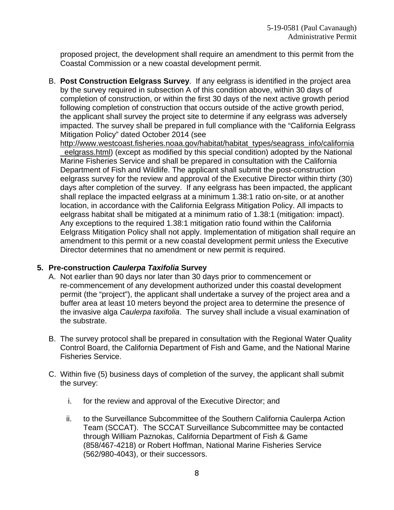proposed project, the development shall require an amendment to this permit from the Coastal Commission or a new coastal development permit.

B. **Post Construction Eelgrass Survey**. If any eelgrass is identified in the project area by the survey required in subsection A of this condition above, within 30 days of completion of construction, or within the first 30 days of the next active growth period following completion of construction that occurs outside of the active growth period, the applicant shall survey the project site to determine if any eelgrass was adversely impacted. The survey shall be prepared in full compliance with the "California Eelgrass Mitigation Policy" dated October 2014 (see

[http://www.westcoast.fisheries.noaa.gov/habitat/habitat\\_types/seagrass\\_info/california](about:blank) [\\_eelgrass.html\)](about:blank) (except as modified by this special condition) adopted by the National Marine Fisheries Service and shall be prepared in consultation with the California Department of Fish and Wildlife. The applicant shall submit the post-construction eelgrass survey for the review and approval of the Executive Director within thirty (30) days after completion of the survey. If any eelgrass has been impacted, the applicant shall replace the impacted eelgrass at a minimum 1.38:1 ratio on-site, or at another location, in accordance with the California Eelgrass Mitigation Policy. All impacts to eelgrass habitat shall be mitigated at a minimum ratio of 1.38:1 (mitigation: impact). Any exceptions to the required 1.38:1 mitigation ratio found within the California Eelgrass Mitigation Policy shall not apply. Implementation of mitigation shall require an amendment to this permit or a new coastal development permit unless the Executive Director determines that no amendment or new permit is required.

#### **5. Pre-construction** *Caulerpa Taxifolia* **Survey**

- A. Not earlier than 90 days nor later than 30 days prior to commencement or re-commencement of any development authorized under this coastal development permit (the "project"), the applicant shall undertake a survey of the project area and a buffer area at least 10 meters beyond the project area to determine the presence of the invasive alga *Caulerpa taxifolia*. The survey shall include a visual examination of the substrate.
- B. The survey protocol shall be prepared in consultation with the Regional Water Quality Control Board, the California Department of Fish and Game, and the National Marine Fisheries Service.
- C. Within five (5) business days of completion of the survey, the applicant shall submit the survey:
	- i. for the review and approval of the Executive Director; and
	- ii. to the Surveillance Subcommittee of the Southern California Caulerpa Action Team (SCCAT). The SCCAT Surveillance Subcommittee may be contacted through William Paznokas, California Department of Fish & Game (858/467-4218) or Robert Hoffman, National Marine Fisheries Service (562/980-4043), or their successors.